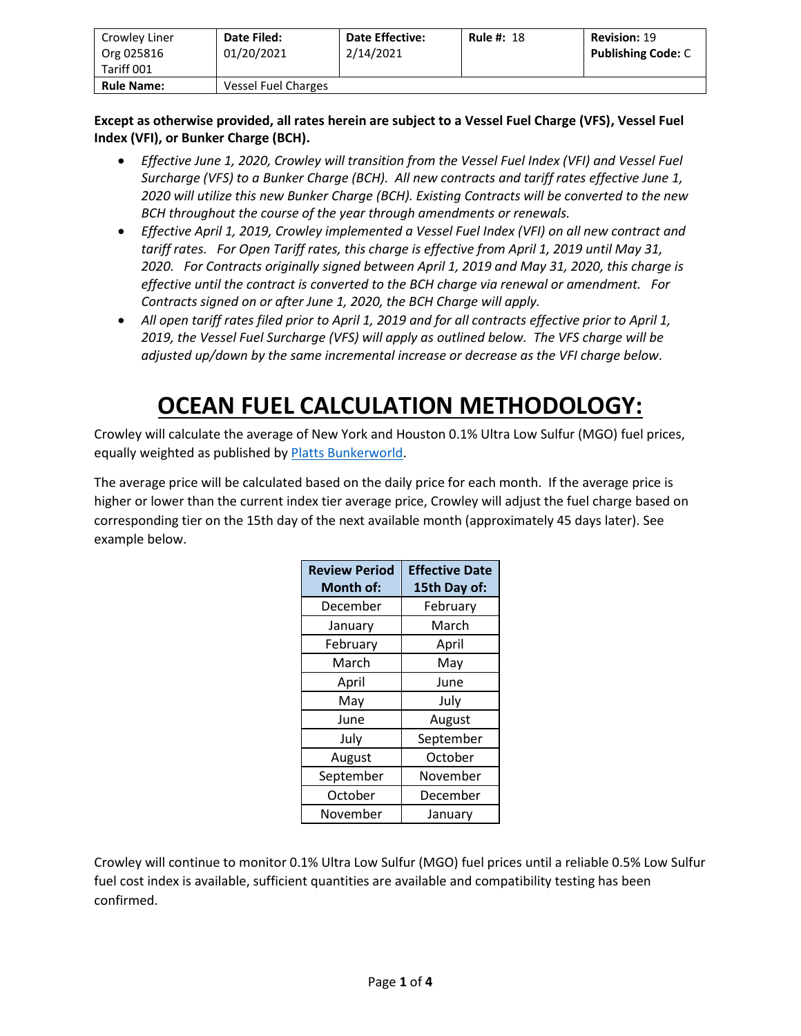| Crowley Liner<br>Org 025816<br>Tariff 001 | Date Filed:<br>01/20/2021 | <b>Date Effective:</b><br>2/14/2021 | <b>Rule #: 18</b> | <b>Revision: 19</b><br><b>Publishing Code: C</b> |
|-------------------------------------------|---------------------------|-------------------------------------|-------------------|--------------------------------------------------|
| <b>Rule Name:</b>                         | Vessel Fuel Charges       |                                     |                   |                                                  |

#### **Except as otherwise provided, all rates herein are subject to a Vessel Fuel Charge (VFS), Vessel Fuel Index (VFI), or Bunker Charge (BCH).**

- *Effective June 1, 2020, Crowley will transition from the Vessel Fuel Index (VFI) and Vessel Fuel Surcharge (VFS) to a Bunker Charge (BCH). All new contracts and tariff rates effective June 1, 2020 will utilize this new Bunker Charge (BCH). Existing Contracts will be converted to the new BCH throughout the course of the year through amendments or renewals.*
- *Effective April 1, 2019, Crowley implemented a Vessel Fuel Index (VFI) on all new contract and tariff rates. For Open Tariff rates, this charge is effective from April 1, 2019 until May 31, 2020. For Contracts originally signed between April 1, 2019 and May 31, 2020, this charge is effective until the contract is converted to the BCH charge via renewal or amendment. For Contracts signed on or after June 1, 2020, the BCH Charge will apply.*
- *All open tariff rates filed prior to April 1, 2019 and for all contracts effective prior to April 1, 2019, the Vessel Fuel Surcharge (VFS) will apply as outlined below. The VFS charge will be adjusted up/down by the same incremental increase or decrease as the VFI charge below.*

# **OCEAN FUEL CALCULATION METHODOLOGY:**

Crowley will calculate the average of New York and Houston 0.1% Ultra Low Sulfur (MGO) fuel prices, equally weighted as published b[y Platts Bunkerworld.](https://www.bunkerworld.com/)

The average price will be calculated based on the daily price for each month. If the average price is higher or lower than the current index tier average price, Crowley will adjust the fuel charge based on corresponding tier on the 15th day of the next available month (approximately 45 days later). See example below.

| <b>Review Period</b><br><b>Month of:</b> | <b>Effective Date</b><br>15th Day of: |
|------------------------------------------|---------------------------------------|
| December                                 | February                              |
| January                                  | March                                 |
| February                                 | April                                 |
| March                                    | May                                   |
| April                                    | June                                  |
| May                                      | July                                  |
| June                                     | August                                |
| July                                     | September                             |
| August                                   | October                               |
| September                                | November                              |
| October                                  | December                              |
| November                                 | January                               |

Crowley will continue to monitor 0.1% Ultra Low Sulfur (MGO) fuel prices until a reliable 0.5% Low Sulfur fuel cost index is available, sufficient quantities are available and compatibility testing has been confirmed.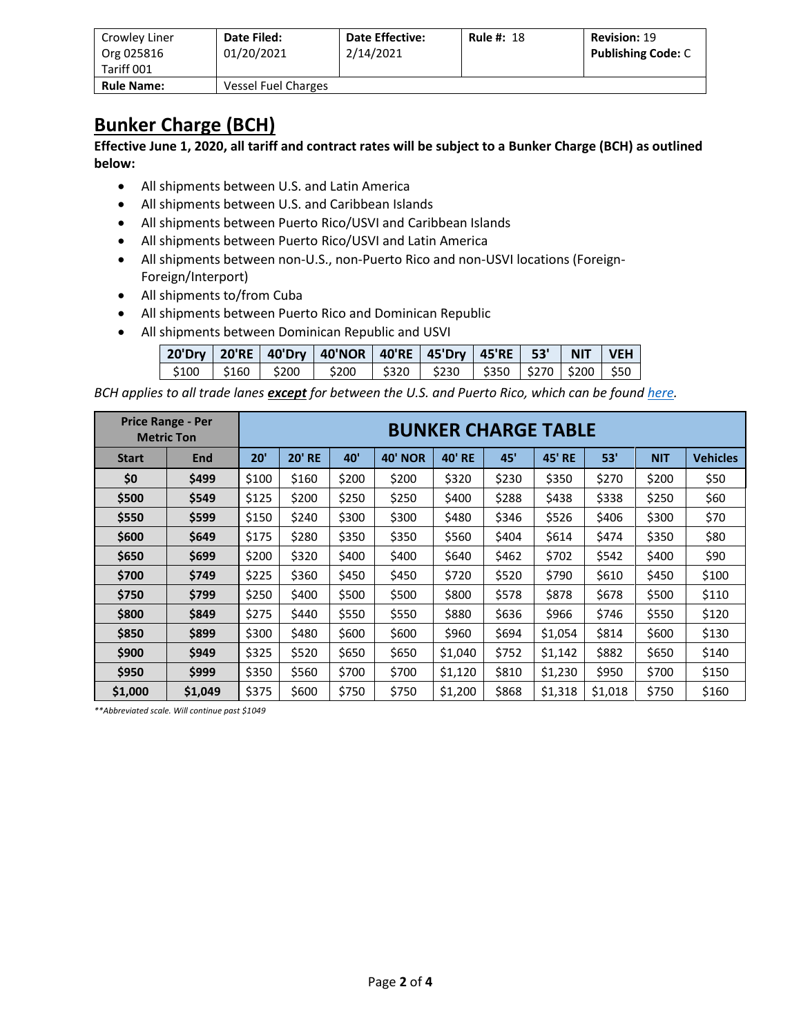| Crowley Liner<br>Org 025816<br>Tariff 001 | Date Filed:<br>01/20/2021 | <b>Date Effective:</b><br>2/14/2021 | <b>Rule #: 18</b> | <b>Revision: 19</b><br><b>Publishing Code: C</b> |
|-------------------------------------------|---------------------------|-------------------------------------|-------------------|--------------------------------------------------|
| <b>Rule Name:</b>                         | Vessel Fuel Charges       |                                     |                   |                                                  |

### **Bunker Charge (BCH)**

**Effective June 1, 2020, all tariff and contract rates will be subject to a Bunker Charge (BCH) as outlined below:**

- All shipments between U.S. and Latin America
- All shipments between U.S. and Caribbean Islands
- All shipments between Puerto Rico/USVI and Caribbean Islands
- All shipments between Puerto Rico/USVI and Latin America
- All shipments between non-U.S., non-Puerto Rico and non-USVI locations (Foreign-Foreign/Interport)
- All shipments to/from Cuba
- All shipments between Puerto Rico and Dominican Republic
- All shipments between Dominican Republic and USVI

|  | 20'Dry   20'RE   40'Dry   40'NOR   40'RE   45'Dry   45'RE   53'   NIT   VEH  |  |  |  |
|--|------------------------------------------------------------------------------|--|--|--|
|  | \$100   \$160   \$200   \$200   \$320   \$230   \$350   \$270   \$200   \$50 |  |  |  |

*BCH applies to all trade lanes except for between the U.S. and Puerto Rico, which can be found [here.](http://www.crowley.com/puerto-rico-vessel-fuel-index/)*

|              | <b>Price Range - Per</b><br><b>Metric Ton</b> |       | <b>BUNKER CHARGE TABLE</b> |                 |                |               |       |                  |         |            |                 |
|--------------|-----------------------------------------------|-------|----------------------------|-----------------|----------------|---------------|-------|------------------|---------|------------|-----------------|
| <b>Start</b> | <b>End</b>                                    | 20'   | <b>20' RE</b>              | 40 <sup>'</sup> | <b>40' NOR</b> | <b>40' RE</b> | 45'   | 45'<br><b>RE</b> | 53'     | <b>NIT</b> | <b>Vehicles</b> |
| \$0          | \$499                                         | \$100 | \$160                      | \$200           | \$200          | \$320         | \$230 | \$350            | \$270   | \$200      | \$50            |
| \$500        | \$549                                         | \$125 | \$200                      | \$250           | \$250          | \$400         | \$288 | \$438            | \$338   | \$250      | \$60            |
| \$550        | \$599                                         | \$150 | \$240                      | \$300           | \$300          | \$480         | \$346 | \$526            | \$406   | \$300      | \$70            |
| \$600        | \$649                                         | \$175 | \$280                      | \$350           | \$350          | \$560         | \$404 | \$614            | \$474   | \$350      | \$80            |
| \$650        | \$699                                         | \$200 | \$320                      | \$400           | \$400          | \$640         | \$462 | \$702            | \$542   | \$400      | \$90            |
| \$700        | \$749                                         | \$225 | \$360                      | \$450           | \$450          | \$720         | \$520 | \$790            | \$610   | \$450      | \$100           |
| \$750        | \$799                                         | \$250 | \$400                      | \$500           | \$500          | \$800         | \$578 | \$878            | \$678   | \$500      | \$110           |
| \$800        | \$849                                         | \$275 | \$440                      | \$550           | \$550          | \$880         | \$636 | \$966            | \$746   | \$550      | \$120           |
| \$850        | \$899                                         | \$300 | \$480                      | \$600           | \$600          | \$960         | \$694 | \$1,054          | \$814   | \$600      | \$130           |
| \$900        | \$949                                         | \$325 | \$520                      | \$650           | \$650          | \$1,040       | \$752 | \$1,142          | \$882   | \$650      | \$140           |
| \$950        | \$999                                         | \$350 | \$560                      | \$700           | \$700          | \$1,120       | \$810 | \$1,230          | \$950   | \$700      | \$150           |
| \$1,000      | \$1,049                                       | \$375 | \$600                      | \$750           | \$750          | \$1,200       | \$868 | \$1,318          | \$1,018 | \$750      | \$160           |

*\*\*Abbreviated scale. Will continue past \$1049*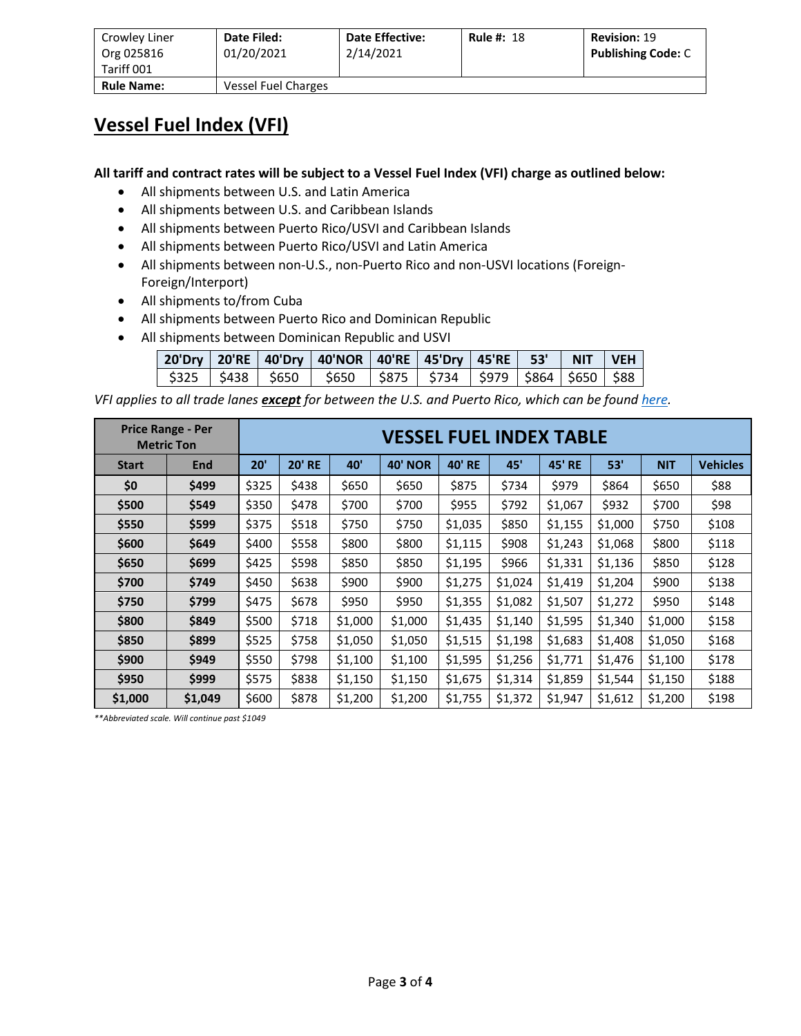| Crowley Liner<br>Org 025816<br>Tariff 001 | Date Filed:<br>01/20/2021 | <b>Date Effective:</b><br>2/14/2021 | <b>Rule #: 18</b> | <b>Revision: 19</b><br><b>Publishing Code: C</b> |
|-------------------------------------------|---------------------------|-------------------------------------|-------------------|--------------------------------------------------|
| <b>Rule Name:</b>                         | Vessel Fuel Charges       |                                     |                   |                                                  |

### **Vessel Fuel Index (VFI)**

**All tariff and contract rates will be subject to a Vessel Fuel Index (VFI) charge as outlined below:**

- All shipments between U.S. and Latin America
- All shipments between U.S. and Caribbean Islands
- All shipments between Puerto Rico/USVI and Caribbean Islands
- All shipments between Puerto Rico/USVI and Latin America
- All shipments between non-U.S., non-Puerto Rico and non-USVI locations (Foreign-Foreign/Interport)
- All shipments to/from Cuba
- All shipments between Puerto Rico and Dominican Republic
- All shipments between Dominican Republic and USVI

|  | 20'Dry   20'RE   40'Dry   40'NOR   40'RE   45'Dry   45'RE   53'   NIT   VEH  |  |  |  |
|--|------------------------------------------------------------------------------|--|--|--|
|  | \$325   \$438   \$650   \$650   \$875   \$734   \$979   \$864   \$650   \$88 |  |  |  |

*VFI applies to all trade lanes except for between the U.S. and Puerto Rico, which can be foun[d here.](http://www.crowley.com/puerto-rico-vessel-fuel-index/)*

|              | <b>Price Range - Per</b><br><b>Metric Ton</b> |       | <b>VESSEL FUEL INDEX TABLE</b> |         |                |               |         |               |         |            |                 |
|--------------|-----------------------------------------------|-------|--------------------------------|---------|----------------|---------------|---------|---------------|---------|------------|-----------------|
| <b>Start</b> | End                                           | 20'   | <b>20' RE</b>                  | 40'     | <b>40' NOR</b> | <b>40' RE</b> | 45'     | <b>45' RE</b> | 53'     | <b>NIT</b> | <b>Vehicles</b> |
| \$0          | \$499                                         | \$325 | \$438                          | \$650   | \$650          | \$875         | \$734   | \$979         | \$864   | \$650      | \$88            |
| \$500        | \$549                                         | \$350 | \$478                          | \$700   | \$700          | \$955         | \$792   | \$1,067       | \$932   | \$700      | \$98            |
| \$550        | \$599                                         | \$375 | \$518                          | \$750   | \$750          | \$1,035       | \$850   | \$1,155       | \$1,000 | \$750      | \$108           |
| \$600        | \$649                                         | \$400 | \$558                          | \$800   | \$800          | \$1,115       | \$908   | \$1,243       | \$1,068 | \$800      | \$118           |
| \$650        | \$699                                         | \$425 | \$598                          | \$850   | \$850          | \$1,195       | \$966   | \$1,331       | \$1,136 | \$850      | \$128           |
| \$700        | \$749                                         | \$450 | \$638                          | \$900   | \$900          | \$1,275       | \$1,024 | \$1,419       | \$1,204 | \$900      | \$138           |
| \$750        | \$799                                         | \$475 | \$678                          | \$950   | \$950          | \$1,355       | \$1,082 | \$1,507       | \$1,272 | \$950      | \$148           |
| \$800        | \$849                                         | \$500 | \$718                          | \$1,000 | \$1,000        | \$1,435       | \$1,140 | \$1,595       | \$1,340 | \$1,000    | \$158           |
| \$850        | \$899                                         | \$525 | \$758                          | \$1,050 | \$1,050        | \$1,515       | \$1,198 | \$1,683       | \$1,408 | \$1,050    | \$168           |
| \$900        | \$949                                         | \$550 | \$798                          | \$1,100 | \$1,100        | \$1,595       | \$1,256 | \$1,771       | \$1,476 | \$1,100    | \$178           |
| \$950        | \$999                                         | \$575 | \$838                          | \$1,150 | \$1,150        | \$1,675       | \$1,314 | \$1,859       | \$1,544 | \$1,150    | \$188           |
| \$1,000      | \$1,049                                       | \$600 | \$878                          | \$1,200 | \$1,200        | \$1,755       | \$1,372 | \$1,947       | \$1,612 | \$1,200    | \$198           |

*\*\*Abbreviated scale. Will continue past \$1049*